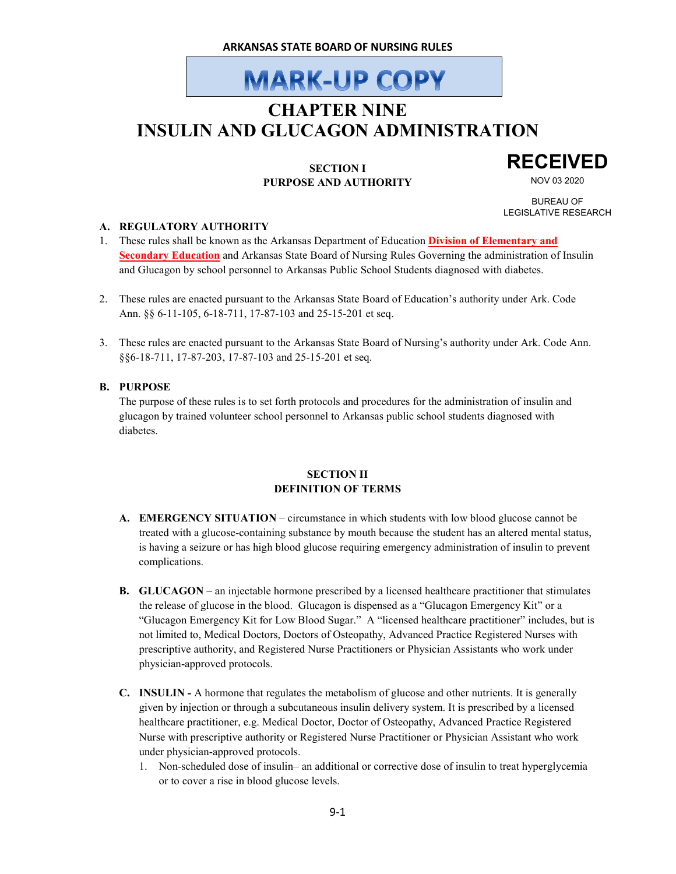# **MARK-UP COPY**

### **CHAPTER NINE INSULIN AND GLUCAGON ADMINISTRATION**

#### **SECTION I PURPOSE AND AUTHORITY**

## **RECEIVED**

NOV 03 2020

BUREAU OF LEGISLATIVE RESEARCH

#### **A. REGULATORY AUTHORITY**

- 1. These rules shall be known as the Arkansas Department of Education **Division of Elementary and Secondary Education** and Arkansas State Board of Nursing Rules Governing the administration of Insulin and Glucagon by school personnel to Arkansas Public School Students diagnosed with diabetes.
- 2. These rules are enacted pursuant to the Arkansas State Board of Education's authority under Ark. Code Ann. §§ 6-11-105, 6-18-711, 17-87-103 and 25-15-201 et seq.
- 3. These rules are enacted pursuant to the Arkansas State Board of Nursing's authority under Ark. Code Ann. §§6-18-711, 17-87-203, 17-87-103 and 25-15-201 et seq.

#### **B. PURPOSE**

The purpose of these rules is to set forth protocols and procedures for the administration of insulin and glucagon by trained volunteer school personnel to Arkansas public school students diagnosed with diabetes.

#### **SECTION II DEFINITION OF TERMS**

- **A. EMERGENCY SITUATION** circumstance in which students with low blood glucose cannot be treated with a glucose-containing substance by mouth because the student has an altered mental status, is having a seizure or has high blood glucose requiring emergency administration of insulin to prevent complications.
- **B. GLUCAGON** an injectable hormone prescribed by a licensed healthcare practitioner that stimulates the release of glucose in the blood. Glucagon is dispensed as a "Glucagon Emergency Kit" or a "Glucagon Emergency Kit for Low Blood Sugar." A "licensed healthcare practitioner" includes, but is not limited to, Medical Doctors, Doctors of Osteopathy, Advanced Practice Registered Nurses with prescriptive authority, and Registered Nurse Practitioners or Physician Assistants who work under physician-approved protocols.
- **C. INSULIN** A hormone that regulates the metabolism of glucose and other nutrients. It is generally given by injection or through a subcutaneous insulin delivery system. It is prescribed by a licensed healthcare practitioner, e.g. Medical Doctor, Doctor of Osteopathy, Advanced Practice Registered Nurse with prescriptive authority or Registered Nurse Practitioner or Physician Assistant who work under physician-approved protocols.
	- 1. Non-scheduled dose of insulin– an additional or corrective dose of insulin to treat hyperglycemia or to cover a rise in blood glucose levels.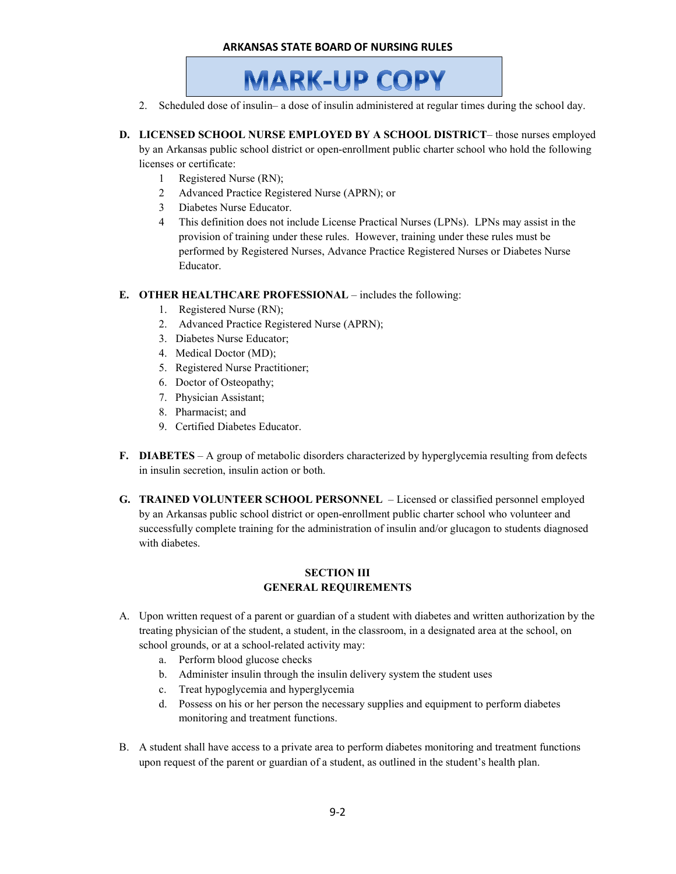#### **ARKANSAS STATE BOARD OF NURSING RULES**



- 2. Scheduled dose of insulin– a dose of insulin administered at regular times during the school day.
- **D. LICENSED SCHOOL NURSE EMPLOYED BY A SCHOOL DISTRICT** those nurses employed

by an Arkansas public school district or open-enrollment public charter school who hold the following licenses or certificate:

- 1 Registered Nurse (RN);
- 2 Advanced Practice Registered Nurse (APRN); or
- 3 Diabetes Nurse Educator.
- 4 This definition does not include License Practical Nurses (LPNs). LPNs may assist in the provision of training under these rules. However, training under these rules must be performed by Registered Nurses, Advance Practice Registered Nurses or Diabetes Nurse Educator.

#### **E. OTHER HEALTHCARE PROFESSIONAL** – includes the following:

- 1. Registered Nurse (RN);
- 2. Advanced Practice Registered Nurse (APRN);
- 3. Diabetes Nurse Educator;
- 4. Medical Doctor (MD);
- 5. Registered Nurse Practitioner;
- 6. Doctor of Osteopathy;
- 7. Physician Assistant;
- 8. Pharmacist; and
- 9. Certified Diabetes Educator.
- **F. DIABETES** A group of metabolic disorders characterized by hyperglycemia resulting from defects in insulin secretion, insulin action or both.
- **G. TRAINED VOLUNTEER SCHOOL PERSONNEL**  Licensed or classified personnel employed by an Arkansas public school district or open-enrollment public charter school who volunteer and successfully complete training for the administration of insulin and/or glucagon to students diagnosed with diabetes.

#### **SECTION III GENERAL REQUIREMENTS**

- A. Upon written request of a parent or guardian of a student with diabetes and written authorization by the treating physician of the student, a student, in the classroom, in a designated area at the school, on school grounds, or at a school-related activity may:
	- a. Perform blood glucose checks
	- b. Administer insulin through the insulin delivery system the student uses
	- c. Treat hypoglycemia and hyperglycemia
	- d. Possess on his or her person the necessary supplies and equipment to perform diabetes monitoring and treatment functions.
- B. A student shall have access to a private area to perform diabetes monitoring and treatment functions upon request of the parent or guardian of a student, as outlined in the student's health plan.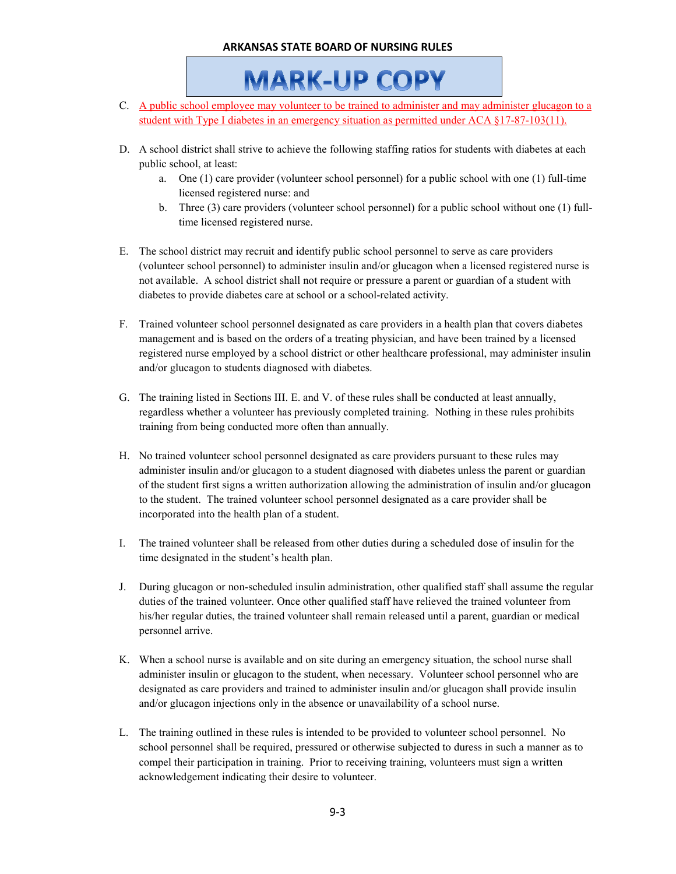#### **ARKANSAS STATE BOARD OF NURSING RULES**

**MARK-UP COPY** 

- C. A public school employee may volunteer to be trained to administer and may administer glucagon to a student with Type I diabetes in an emergency situation as permitted under ACA §17-87-103(11).
- D. A school district shall strive to achieve the following staffing ratios for students with diabetes at each public school, at least:
	- a. One (1) care provider (volunteer school personnel) for a public school with one (1) full-time licensed registered nurse: and
	- b. Three (3) care providers (volunteer school personnel) for a public school without one (1) fulltime licensed registered nurse.
- E. The school district may recruit and identify public school personnel to serve as care providers (volunteer school personnel) to administer insulin and/or glucagon when a licensed registered nurse is not available. A school district shall not require or pressure a parent or guardian of a student with diabetes to provide diabetes care at school or a school-related activity.
- F. Trained volunteer school personnel designated as care providers in a health plan that covers diabetes management and is based on the orders of a treating physician, and have been trained by a licensed registered nurse employed by a school district or other healthcare professional, may administer insulin and/or glucagon to students diagnosed with diabetes.
- G. The training listed in Sections III. E. and V. of these rules shall be conducted at least annually, regardless whether a volunteer has previously completed training. Nothing in these rules prohibits training from being conducted more often than annually.
- H. No trained volunteer school personnel designated as care providers pursuant to these rules may administer insulin and/or glucagon to a student diagnosed with diabetes unless the parent or guardian of the student first signs a written authorization allowing the administration of insulin and/or glucagon to the student. The trained volunteer school personnel designated as a care provider shall be incorporated into the health plan of a student.
- I. The trained volunteer shall be released from other duties during a scheduled dose of insulin for the time designated in the student's health plan.
- J. During glucagon or non-scheduled insulin administration, other qualified staff shall assume the regular duties of the trained volunteer. Once other qualified staff have relieved the trained volunteer from his/her regular duties, the trained volunteer shall remain released until a parent, guardian or medical personnel arrive.
- K. When a school nurse is available and on site during an emergency situation, the school nurse shall administer insulin or glucagon to the student, when necessary. Volunteer school personnel who are designated as care providers and trained to administer insulin and/or glucagon shall provide insulin and/or glucagon injections only in the absence or unavailability of a school nurse.
- L. The training outlined in these rules is intended to be provided to volunteer school personnel. No school personnel shall be required, pressured or otherwise subjected to duress in such a manner as to compel their participation in training. Prior to receiving training, volunteers must sign a written acknowledgement indicating their desire to volunteer.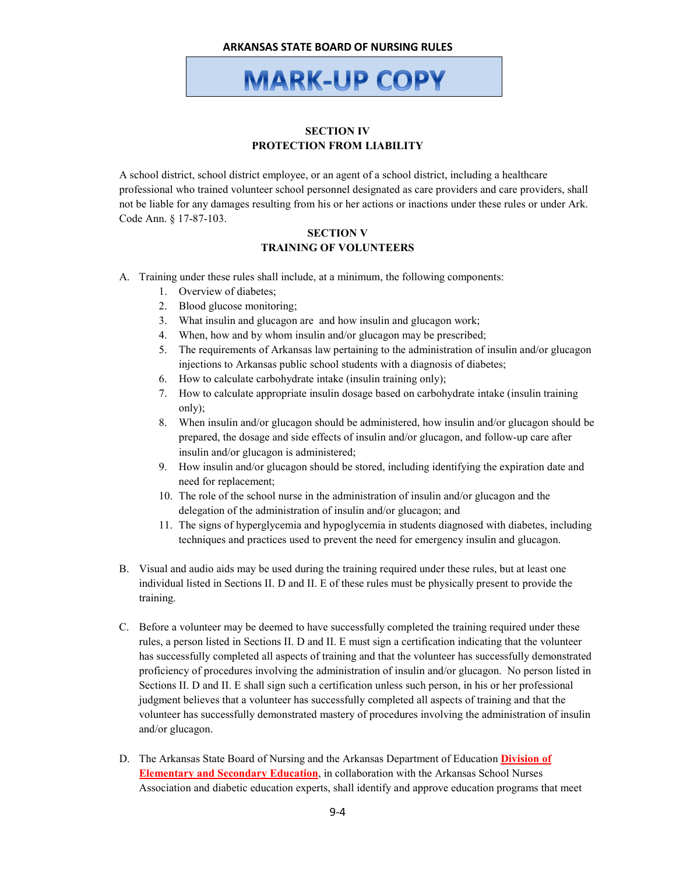**MARK-UP COPY** 

#### **SECTION IV PROTECTION FROM LIABILITY**

A school district, school district employee, or an agent of a school district, including a healthcare professional who trained volunteer school personnel designated as care providers and care providers, shall not be liable for any damages resulting from his or her actions or inactions under these rules or under Ark. Code Ann. § 17-87-103.

#### **SECTION V TRAINING OF VOLUNTEERS**

- A. Training under these rules shall include, at a minimum, the following components:
	- 1. Overview of diabetes;
	- 2. Blood glucose monitoring;
	- 3. What insulin and glucagon are and how insulin and glucagon work;
	- 4. When, how and by whom insulin and/or glucagon may be prescribed;
	- 5. The requirements of Arkansas law pertaining to the administration of insulin and/or glucagon injections to Arkansas public school students with a diagnosis of diabetes;
	- 6. How to calculate carbohydrate intake (insulin training only);
	- 7. How to calculate appropriate insulin dosage based on carbohydrate intake (insulin training only);
	- 8. When insulin and/or glucagon should be administered, how insulin and/or glucagon should be prepared, the dosage and side effects of insulin and/or glucagon, and follow-up care after insulin and/or glucagon is administered;
	- 9. How insulin and/or glucagon should be stored, including identifying the expiration date and need for replacement;
	- 10. The role of the school nurse in the administration of insulin and/or glucagon and the delegation of the administration of insulin and/or glucagon; and
	- 11. The signs of hyperglycemia and hypoglycemia in students diagnosed with diabetes, including techniques and practices used to prevent the need for emergency insulin and glucagon.
- B. Visual and audio aids may be used during the training required under these rules, but at least one individual listed in Sections II. D and II. E of these rules must be physically present to provide the training.
- C. Before a volunteer may be deemed to have successfully completed the training required under these rules, a person listed in Sections II. D and II. E must sign a certification indicating that the volunteer has successfully completed all aspects of training and that the volunteer has successfully demonstrated proficiency of procedures involving the administration of insulin and/or glucagon. No person listed in Sections II. D and II. E shall sign such a certification unless such person, in his or her professional judgment believes that a volunteer has successfully completed all aspects of training and that the volunteer has successfully demonstrated mastery of procedures involving the administration of insulin and/or glucagon.
- D. The Arkansas State Board of Nursing and the Arkansas Department of Education **Division of Elementary and Secondary Education**, in collaboration with the Arkansas School Nurses Association and diabetic education experts, shall identify and approve education programs that meet